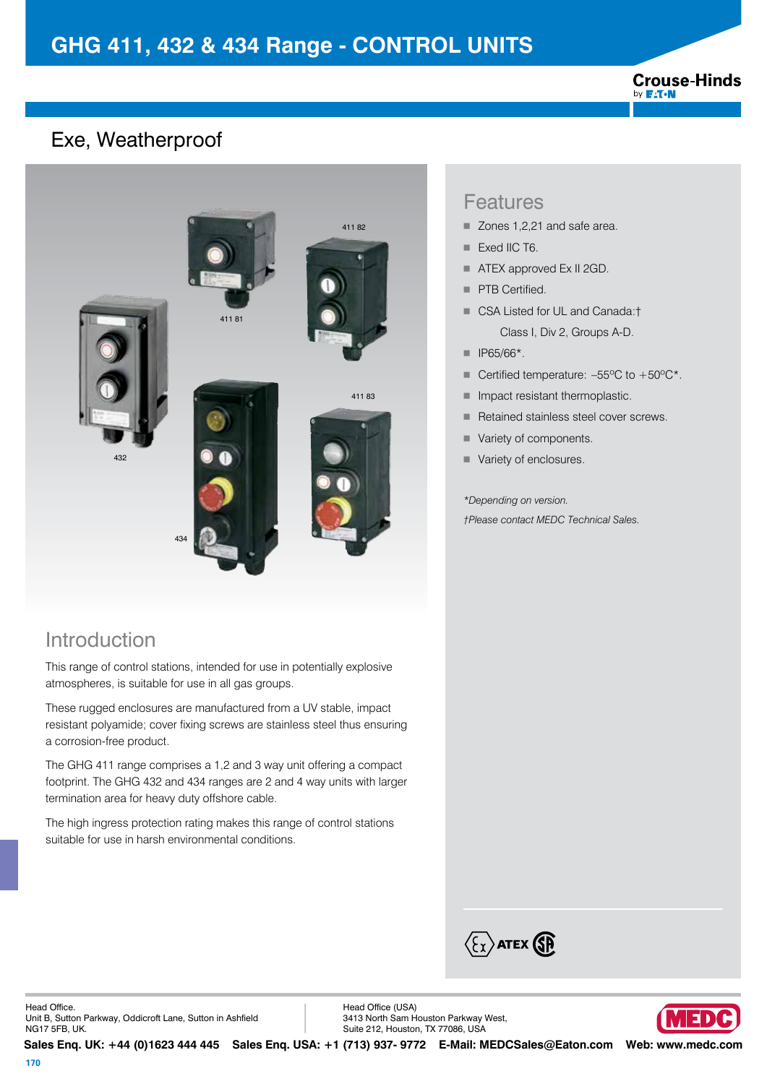#### **Crouse-Hinds** by **F:T.N**

### Exe, Weatherproof



#### Introduction

This range of control stations, intended for use in potentially explosive atmospheres, is suitable for use in all gas groups.

These rugged enclosures are manufactured from a UV stable, impact resistant polyamide; cover fixing screws are stainless steel thus ensuring a corrosion-free product.

The GHG 411 range comprises a 1,2 and 3 way unit offering a compact footprint. The GHG 432 and 434 ranges are 2 and 4 way units with larger termination area for heavy duty offshore cable.

The high ingress protection rating makes this range of control stations suitable for use in harsh environmental conditions.

#### Features

- Zones 1,2,21 and safe area.
- Exed IIC T6.
- **ATEX approved Ex II 2GD.**
- **PTB Certified.**
- CSA Listed for UL and Canada:† Class I, Div 2, Groups A-D.
- $\blacksquare$  IP65/66\*.
- Certified temperature:  $-55^{\circ}$ C to  $+50^{\circ}$ C\*.
- **Impact resistant thermoplastic.**
- Retained stainless steel cover screws.
- Variety of components.
- Variety of enclosures.

*\*Depending on version. †Please contact MEDC Technical Sales.*



Head Office. Unit B, Sutton Parkway, Oddicroft Lane, Sutton in Ashfield NG17 5FB, UK.

Head Office (USA) 3413 North Sam Houston Parkway West, Suite 212, Houston, TX 77086, USA



**Sales Enq. UK: +44 (0)1623 444 445 Sales Enq. USA: +1 (713) 937- 9772 E-Mail: MEDCSales@Eaton.com Web: www.medc.com**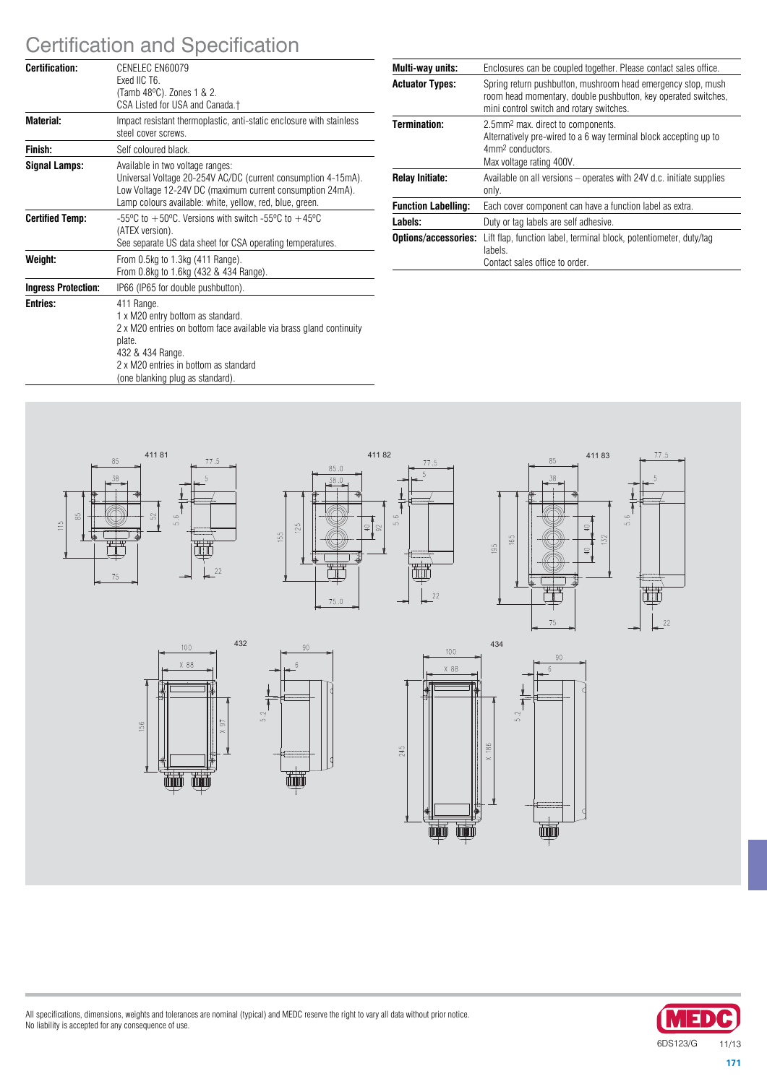# Certification and Specification

| Certification:             | CENELEC EN60079<br>Exed IIC T6.<br>(Tamb 48°C). Zones 1 & 2.<br>CSA Listed for USA and Canada.†                                                                                                                                   |
|----------------------------|-----------------------------------------------------------------------------------------------------------------------------------------------------------------------------------------------------------------------------------|
| Material:                  | Impact resistant thermoplastic, anti-static enclosure with stainless<br>steel cover screws.                                                                                                                                       |
| Finish:                    | Self coloured black.                                                                                                                                                                                                              |
| Signal Lamps:              | Available in two voltage ranges:<br>Universal Voltage 20-254V AC/DC (current consumption 4-15mA).<br>Low Voltage 12-24V DC (maximum current consumption 24mA).<br>Lamp colours available: white, yellow, red, blue, green.        |
| <b>Certified Temp:</b>     | $-55^{\circ}$ C to $+50^{\circ}$ C. Versions with switch $-55^{\circ}$ C to $+45^{\circ}$ C<br>(ATEX version).<br>See separate US data sheet for CSA operating temperatures.                                                      |
| Weight:                    | From 0.5kg to 1.3kg (411 Range).<br>From 0.8kg to 1.6kg (432 & 434 Range).                                                                                                                                                        |
| <b>Ingress Protection:</b> | IP66 (IP65 for double pushbutton).                                                                                                                                                                                                |
| <b>Entries:</b>            | 411 Range.<br>1 x M20 entry bottom as standard.<br>2 x M20 entries on bottom face available via brass gland continuity<br>plate.<br>432 & 434 Range.<br>2 x M20 entries in bottom as standard<br>(one blanking plug as standard). |

| Multi-way units:           | Enclosures can be coupled together. Please contact sales office.                                                                                                              |
|----------------------------|-------------------------------------------------------------------------------------------------------------------------------------------------------------------------------|
| <b>Actuator Types:</b>     | Spring return pushbutton, mushroom head emergency stop, mush<br>room head momentary, double pushbutton, key operated switches,<br>mini control switch and rotary switches.    |
| Termination:               | 2.5mm <sup>2</sup> max. direct to components.<br>Alternatively pre-wired to a 6 way terminal block accepting up to<br>4mm <sup>2</sup> conductors<br>Max voltage rating 400V. |
| <b>Relay Initiate:</b>     | Available on all versions – operates with 24V d.c. initiate supplies<br>only.                                                                                                 |
| <b>Function Labelling:</b> | Each cover component can have a function label as extra.                                                                                                                      |
| Labels:                    | Duty or tag labels are self adhesive.                                                                                                                                         |
|                            | <b>Options/accessories:</b> Lift flap, function label, terminal block, potentiometer, duty/tag<br>labels.<br>Contact sales office to order.                                   |















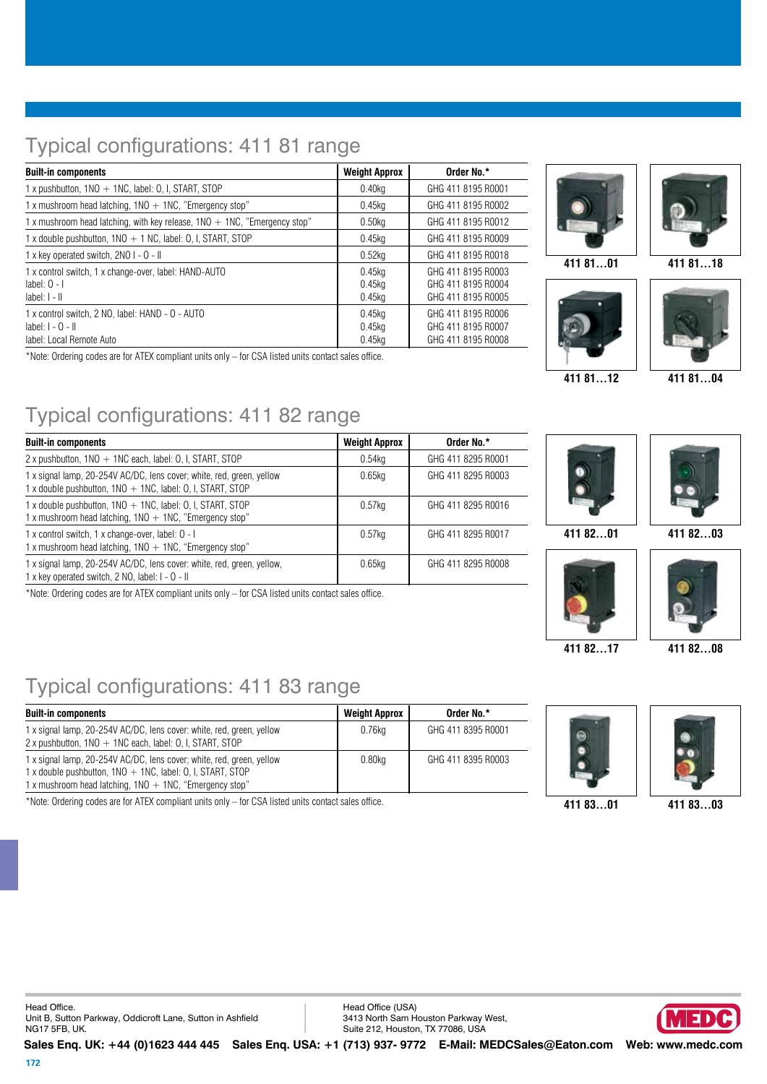# Typical configurations: 411 81 range

| <b>Built-in components</b>                                                                         | <b>Weight Approx</b>          | Order No.*                                                     |
|----------------------------------------------------------------------------------------------------|-------------------------------|----------------------------------------------------------------|
| 1 x pushbutton, 1NO + 1NC, label: 0, I, START, STOP                                                | 0.40kg                        | GHG 411 8195 R0001                                             |
| 1 x mushroom head latching, $1NO + 1NC$ , "Emergency stop"                                         | 0.45ka                        | GHG 411 8195 R0002                                             |
| 1 x mushroom head latching, with key release, $1NO + 1NC$ , "Emergency stop"                       | 0.50 <sub>kq</sub>            | GHG 411 8195 R0012                                             |
| 1 x double pushbutton, $1NO + 1 NC$ , label: 0, I, START, STOP                                     | 0.45kg                        | GHG 411 8195 R0009                                             |
| 1 x key operated switch, 2NO I - O - II                                                            | $0.52$ kg                     | GHG 411 8195 R0018                                             |
| 1 x control switch, 1 x change-over, label: HAND-AUTO<br>label: $0 - 1$<br>$label:1-1}$            | $0.45$ kg<br>0.45kg<br>0.45kg | GHG 411 8195 R0003<br>GHG 411 8195 R0004<br>GHG 411 8195 R0005 |
| 1 x control switch, 2 NO, label: HAND - 0 - AUTO<br>$label:1-0-11}$<br>label: Local Remote Auto    | 0.45kg<br>$0.45$ kg<br>0.45kg | GHG 411 8195 B0006<br>GHG 411 8195 R0007<br>GHG 411 8195 R0008 |
| *Note: Ordering eades are for ATEV compliant units only that CCA listed units contact sales office |                               |                                                                |

\*Note: Ordering codes are for ATEX compliant units only – for CSA listed units contact sales office.

# $\overline{\phantom{0}}$  $\overline{\phantom{0}}$ ÷,

**411 81…01 411 81…18**





**411 81…12 411 81…04**

# Typical configurations: 411 82 range

| <b>Built-in components</b>                                                                                                             | <b>Weight Approx</b> | Order No.*         |
|----------------------------------------------------------------------------------------------------------------------------------------|----------------------|--------------------|
| $2x$ pushbutton, $1NO + 1NC$ each, label: 0, I, START, STOP                                                                            | 0.54kg               | GHG 411 8295 R0001 |
| 1 x signal lamp, 20-254V AC/DC, lens cover; white, red, green, yellow<br>1 x double pushbutton, $1NO + 1NC$ , label: 0, I, START, STOP | $0.65$ kg            | GHG 411 8295 R0003 |
| 1 x double pushbutton, 1NO + 1NC, label: 0, I, START, STOP<br>1 x mushroom head latching, $1NO + 1NC$ , "Emergency stop"               | $0.57$ kg            | GHG 411 8295 R0016 |
| 1 x control switch, 1 x change-over, label: 0 - 1<br>1 x mushroom head latching, $1NO + 1NC$ , "Emergency stop"                        | 0.57kg               | GHG 411 8295 R0017 |
| 1 x signal lamp, 20-254V AC/DC, lens cover: white, red, green, yellow,<br>1 x key operated switch, 2 NO, label: I - O - II             | $0.65$ kg            | GHG 411 8295 R0008 |

\*Note: Ordering codes are for ATEX compliant units only – for CSA listed units contact sales office.

# Typical configurations: 411 83 range

| <b>Built-in components</b>                                                                                                                                                                           | <b>Weight Approx</b> | Order No.*         |
|------------------------------------------------------------------------------------------------------------------------------------------------------------------------------------------------------|----------------------|--------------------|
| 1 x signal lamp, 20-254V AC/DC, lens cover: white, red, green, yellow<br>$2x$ pushbutton, $1NO + 1NC$ each, label: O, I, START, STOP                                                                 | 0.76kg               | GHG 411 8395 R0001 |
| 1 x signal lamp, 20-254V AC/DC, lens cover; white, red, green, yellow<br>1 x double pushbutton, $1NO + 1NC$ , label: 0, I, START, STOP<br>1 x mushroom head latching, $1NO + 1NC$ , "Emergency stop" | $0.80$ kg            | GHG 411 8395 R0003 |

\*Note: Ordering codes are for ATEX compliant units only – for CSA listed units contact sales office. **411 83…01 411 83…03**







Head Office. Unit B, Sutton Parkway, Oddicroft Lane, Sutton in Ashfield NG17 5FB, UK.

Head Office (USA) 3413 North Sam Houston Parkway West, Suite 212, Houston, TX 77086, USA

**Sales Enq. UK: +44 (0)1623 444 445 Sales Enq. USA: +1 (713) 937- 9772 E-Mail: MEDCSales@Eaton.com Web: www.medc.com** 





**411 82…17 411 82…08**